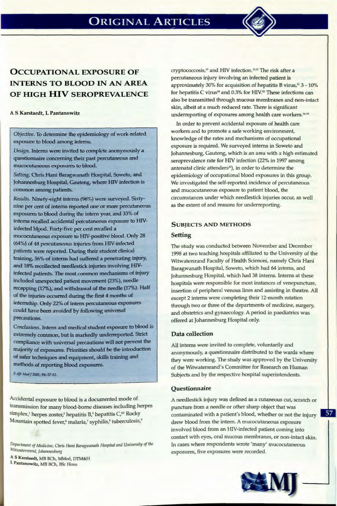

# **OCCUPATIONAL EXPOSURE OF INTERNS TO BLOOD IN AN AREA OF HIGH HIV SEROPREVALENCE**

#### A S Karstaedt, L Pantanowitz

*Objective.* To determine the epidemiology of work-related exposure to blood among interns.

*Design.* Interns were invited to complete anonymously a questionnaire concerning their past percutaneous and mucocutaneous exposures to blood.

*Setting.* Chris Hani Baragwanath Hospital, Soweto, and Johannesburg Hospital, Gauteng, where HlV infection is common among patients.

*Results.* Ninety-eight interns (96%) were surveyed. Sixtynine per cent of interns reported one or more percutaneous exposures to blood during the intern year, and 33% of interns recalled accidental percutaneous exposure to HlVinfected blgod. Forty-five per cent recalled a mucocutaneous exposure to HIV-positive blood. Only 28 (64%) of 44 percutaneous injuries from HlV-infected patients were reported. During their student clinical training, 56% of interns had suffered a penetrating injury, and 18% recollected needlestick injuries involving HIVinfected patients. The most common mechanisms of injury included unexpected patient movement (23%), needle recapping (17%), and withdrawal of the needle (17%). Half of the injuries occurred during the first 4 months of internship. Only 22% of intern percutaneous exposures could have been avoided by following universal precautions.

*Conclusions.* Intern and medical student exposure to blood is extremely common, but is markedly underreported. Strict compliance with universal precautions will not prevent the majority of exposures. Priorities should be the introduction of safer techniques and equipment, skills training and methods of reporting blood exposures.

*s Afr* Med /2001; 91: 57-61.

Accidental exposure to blood is a documented mode of transmission for many blood-borne diseases including herpes simplex,<sup>1</sup> herpes zoster,<sup>2</sup> hepatitis B,<sup>3</sup> hepatitis C,<sup>45</sup> Rocky Mountain spotted fever,<sup>6</sup> malaria,<sup>7</sup> syphilis,<sup>8</sup> tuberculosis,<sup>9</sup>

*Department of Medicine, Chris Hani Baragwanath Hospital and University of the Witwatersrand, Johannesburg* 

AS Karstaedt, MB BCh, MMed, DTM&H L Pantanowitz, MB BCh, BSc Hons

cryptococcosis,<sup>10</sup> and HIV infection.<sup>11,12</sup> The risk after a percutaneous injury involving an infected patient is approximately 30% for acquisition of hepatitis B virus,<sup>13</sup> 3 - 10% for hepatitis C virus<sup>14</sup> and 0.3% for HIV.<sup>15</sup> These infections can also be transmitted through mucous membranes and non-intact skin, albeit at a much reduced rate. There is significant underreporting of exposures among health care workers.<sup>16-19</sup>

In order to prevent accidental exposure of health care workers and to promote a safe working environment, knowledge of the rates and mechanisms of occupational exposure is required. We surveyed interns in Soweto and Johannesburg, Gauteng, which is an area with a high estimated seroprevalence rate for HIV infection (22% in 1997 among antenatal clinic attenders<sup>20</sup>), in order to determine the epidemiology of occupational blood exposures in this group. We investigated the self-reported incidence of percutaneous and mucocutaneous exposure to patient blood, the circumstances under which needlestick injuries occur, as well as the extent of and reasons for underreporting.

# SUBJECTS AND METHODS

# **Setting**

The study was conducted between November and December 1998 at two teaching hospitals affiliated to the University of the Witwatersrand Faculty of Health Sciences, namely Chris Hani Baragwanath Hospital, Soweto, which had 64 interns, and Johannesburg Hospital, which had 38 interns. Interns at these hospitals were responsible for most instances of venepuncture, insertion of peripheral venous lines and assisting in theatre. All except 2 interns were completing their 12-month rotation through two or three of the departments of medicine, surgery, and obstetrics and gynaecology. A period in paediatrics was offered at Johannesburg Hospital only.

# Data collection

All interns were invited to complete, voluntarily and anonymously, a questionnaire distributed to the wards where they were working. The study was approved by the University of the Witwatersrand's Committee for Research on Human Subjects and by the respective hospital superintendents.

# **Questionnaire**

A needlestick injury was defined as a cutaneous cut, scratch or puncture from a needle or other sharp object that was contaminated with a patient's blood, whether or not the injury drew blood from the intern. A mucocutaneous exposure involved blood from an HIV-infected patient coming into contact with eyes, oral mucous membranes, or non-intact skin. In cases where respondents wrote 'many' mucocutaneous exposures, five exposures were recorded.

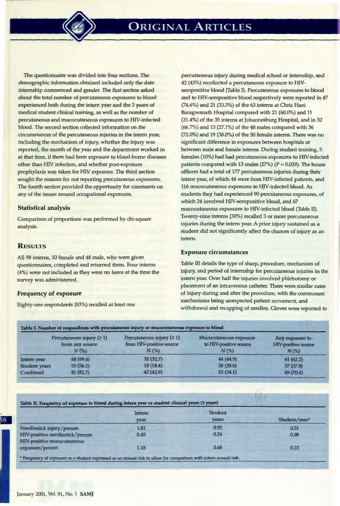The questionnaire was divided into four sections. The demographic information obtained included only the date internship commenced and gender. The first section asked about the total number of percutaneous exposures to blood experienced both during the intern year and the 3 years of medical student clinical training, as well as the number of percutaneous and mucocutaneous exposures to HN-infected blood. The second section collected information on the circumstances of the percutaneous injuries in the intern year, including the mechanism of injury, whether the injury was reported, the month of the year and the department worked in at that time, if there had been exposure to blood-borne diseases other than HIV infection, and whether post-exposure prophylaxis was taken for HIV exposure. The third section sought the reasons for not reporting percutaneous exposures. The fourth section provided the opportunity for comments on any of the issues around occupational exposures.

### Statistical analysis

Comparison of proportions was performed by chi-square analysis.

# **RESULTS**

All 98 interns, 50 female and 48 male, who were given questionnaires, completed and returned them. Four interns (4%) were not included as they were on leave at the time the survey was administered.

#### Frequency of exposure

Eighty-one respondents (83%) recalled at least one

percutaneous injury during medical school or internship, and 42 (43%) recollected a percutaneous exposure to HIVseropositive blood (Table I). Percutaneous exposures to blood and to HIV-seropositive blood respectively were reported in 47 (74.6%) and 21 (33.3%) of the 63 interns at Chris Hani Baragwanath Hospital compared with 21 (60.0%) and 11 (31.4%) of the 35 interns at Johannesburg Hospital, and in 32 (66.7%) and 13 (27.1%) of the 48 males compared with 36 (72.0%) and 19 (38.0%) of the 50 female interns. There was no significant difference in exposures between hospitals or between male and female interns. During student training, 5 females (10%) had had percutaneous exposures to HIV-infected patients compared with 13 males (27%) ( $P = 0.029$ ). The house officers had a total of 177 percutaneous injuries during their intern year, of which 44 were from HIV-infected patients, and 116 mucocutaneous exposures to HIV-infected blood. As students they had experienced 90 percutaneous exposures, of which 24 involved HIV-seropositive blood, and 67 mucocutaneous exposures to HIV-infected blood (Table II). Twenty-nine interns (30%) recalled 3 or more percutaneous injuries during the intern year. A prior injury sustained as a student did not significantly affect the chances of injury as an intern.

1

#### Exposure circumstances

Table III details the type of sharp, procedure, mechanism of injury, and period of internship for percutaneous injuries in the intern year. Over half the injuries involved phlebotomy or placement of an intravenous catheter. There were similar rates of injury during and after the procedure, with the commonest mechanisms being unexpected patient movement, and withdrawal and recapping of needles. Gloves were reported to

|                      | Percutaneous injury $(21)$<br>from any source<br>$N(\%)$ | Percutaneous injury $(21)$<br>from HIV-positive source<br>$N(\%)$ | Mucocutaneous exposure<br>to HIV-positive source<br>$N(\%)$ | Any exposure to<br><b>HIV-positive source</b><br>$N(\%)$ |
|----------------------|----------------------------------------------------------|-------------------------------------------------------------------|-------------------------------------------------------------|----------------------------------------------------------|
| Intern year          | 68(69.4)                                                 | 32(32.7)                                                          | 44 (44.9)                                                   | 61(62.2)                                                 |
| <b>Student years</b> | 55(56.1)                                                 | 18(18.4)                                                          | 28 (28.6)                                                   | 37 (37.8)                                                |
| Combined             | 81(82.7)                                                 | 42 (42.9)                                                         | 53 (54.1)                                                   | 69 (70.4)                                                |

Table D. Frequency of exposme to blood during intem year or student clinical years (3 years)

|                                                                      | Intern<br>year | <b>Student</b><br>vears. | Student/year* |
|----------------------------------------------------------------------|----------------|--------------------------|---------------|
| Needlestick injury/person                                            | 1.81           | 0.92                     | 0.31          |
| HIV-positive needlestick/person<br><b>HIV-positive mucocutaneous</b> | 0.45           | 0.24                     | 0.08          |
| exposure/person                                                      | 1.18           | 0.68                     | 0.23          |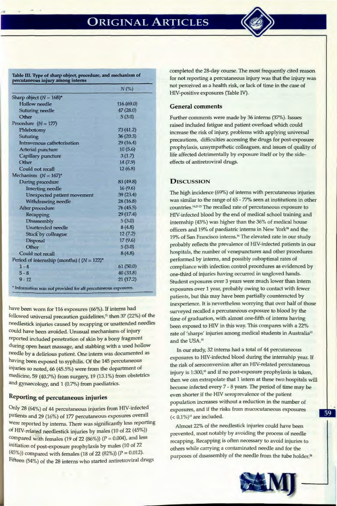

Table IlL Type of sharp object, procedure, and mechanism of percutaneous injury among interns

|                                                                | N(%        |
|----------------------------------------------------------------|------------|
| Sharp object $(N = 168)^*$                                     |            |
| <b>Hollow</b> needle                                           | 116 (69.0) |
| Suturing needle                                                | 47 (28.0)  |
| Other                                                          | 5(3.0)     |
| Procedure $(N = 177)$                                          |            |
| Phlebotomy                                                     | 73(41.2)   |
| <b>Suturing</b>                                                | 36(20.3)   |
| Intravenous catheterisation                                    | 29 (16.4)  |
| <b>Arterial puncture</b>                                       | 10(5.6)    |
| Capillary puncture                                             | 3(1.7)     |
| Other                                                          | 14(7.9)    |
| Could not recall                                               | 12(6.8)    |
| Mechanism $(N = 167)^*$                                        |            |
| During procedure                                               | 83 (49.8). |
| <b>Inserting needle</b>                                        | 16(9.6)    |
| Unexpected patient movement                                    | 39 (23.4)  |
| Withdrawing needle                                             | 28(16.8)   |
| After procedure                                                | 76(45.5)   |
| <b>Recapping</b>                                               | 29 (17.4)  |
| <b>Disassembly</b>                                             | 5(3.0)     |
| Unattended needle                                              | 8(4.8)     |
| <b>Stuck by colleague</b>                                      | 12(7.2)    |
| <b>Disposal</b>                                                | 17(9.6)    |
| Other                                                          | 5(3.0)     |
| Could not recall                                               | 8(4.8)     |
| Period of internship (months) ( $(N = 122)^*$ )                |            |
| $1 - 4$                                                        | 61(50.0)   |
| $5 - 8$                                                        | 40 (33.8)  |
| $9 - 12$                                                       | 21(17.2)   |
| * Information was not provided for all percutaneous exposures. |            |

have been worn for 116 exposures (66%). If interns had followed universal precaution guidelines,<sup>21</sup> then 37 (22%) of the needlestick injuries caused by recapping or unattended needles could have been avoided. Unusual mechanisms of injury reported included penetration of skin by a bony fragment during open heart massage, and stabbing with a used hollow needle by a delirious patient. One intern was documented as having been exposed to syphilis. Of the 145 percutaneous injuries so noted, 66 (45.5%) were from the department of medicine, 59 (40.7%) from surgery, 19 (13.1%) from obstetrics and gynaecology, and 1 (0.7%) from paediatrics.

# Reporting of percutaneous injuries

Only 28 (64%) of 44 percutaneous injuries from HIV-infected patients and 29 (16%) of 177 percutaneous exposures overall Were reported by interns. There was significantly less reporting of HIV-related needlestick injuries by males (10 of 22 (45%)) compared with females (19 of 22  $(86%)$ ) ( $P = 0.004$ ), and less initiation of post-exposure prophylaxis by males (10 of 22 (45%)) compared with females (18 of 22 (82%)) ( $P = 0.012$ ). Fifteen (54%) of the 28 interns who started antiretroviral drugs

completed the 28-day course. The most frequently cited reason for not reporting a percutaneous injury was that the injury was not perceived as a health risk, or lack of time in the case of HIV-positive exposures (Table N).

## General comments

Further comments were made by 36 interns (37%). Issues raised included fatigue and patient overload which could increase the risk of injury, problems with applying universal precautions, difficulties accessing the drugs for post-exposure prophylaxis, unsympathetic colleagues, and issues of quality of life affected detrimentally by exposure itself or by the sideeffects of antiretroviral drugs.

# **DISCUSSION**

The high incidence (69%) of interns with percutaneous injuries was similar to the range of 65 - 77% seen at institutions in other countries.<sup>14,21-23</sup> The recalled rate of percutaneous exposure to HIV-infected blood by the end of medical school training and internship (43%) was higher than the 36% of medical house officers and 19% of paediatric interns in New York'' and the 19% of San Francisco interns.<sup>14</sup> The elevated rate in our study probably reflects the prevalence of HIV-infected patients in our hospitals, the number of venepunctures and other procedures performed by interns, and possibly suboptimal rates of compliance with infection control procedures as evidenced by one-third of injuries having occurred in ungloved hands. Student exposures over 3 years were much lower than intern exposures over 1 year, probably owing to contact with fewer patients, but this may have been partially counteracted by inexperience. It is nevertheless worrying that over half of those surveyed recalled a percutaneous exposure to blood by the time of graduation, with almost one-fifth of interns having been exposed to HIV in this way. This compares with a 22% rate of 'sharps' injuries among medical students in Australia" and the USA.<sup>25</sup>

In our study, 32 interns had a total of 44 percutaneous exposures to HIV-infected blood during the internship year. If the risk of seroconversion after an HIV-related percutaneous injury is 1:300,<sup>15</sup> and if no post-exposure prophylaxis is taken, then we can extrapolate that 1 intern at these two hospitals will become infected every 7 - 8 years. The period of time may be even shorter if the HN seroprevalence of the patient population increases without a reduction in the number of exposures, and if the risks from mucocutaneous exposures  $( $0.1\%$ )<sup>15</sup> are included.$ 

Almost 22% of the needlestick injuries could have been prevented, most notably by avoiding the process of needle recapping. Recapping is often necessary to avoid injuries to others while carrying a contaminated needle and for the purposes of disassembly of the needle from the tube holder.<sup>36</sup>